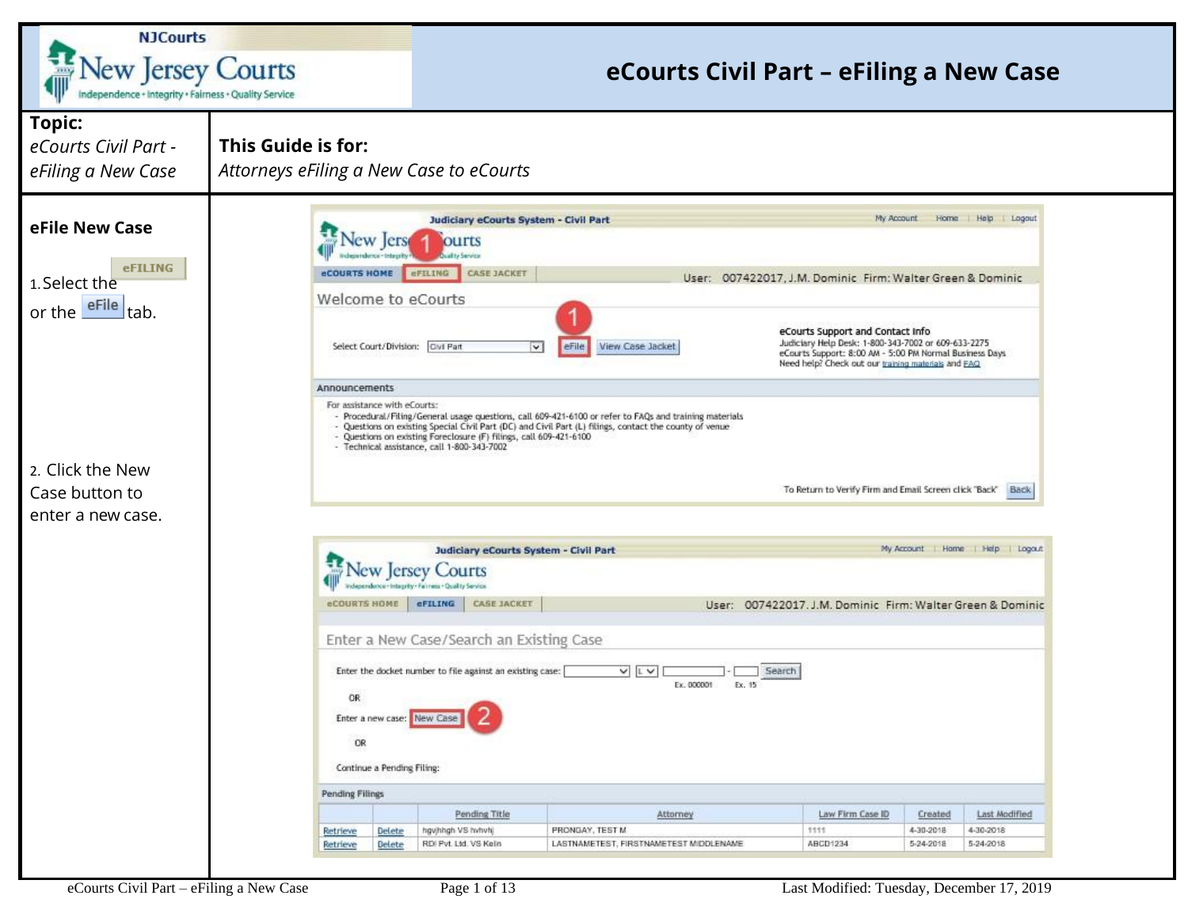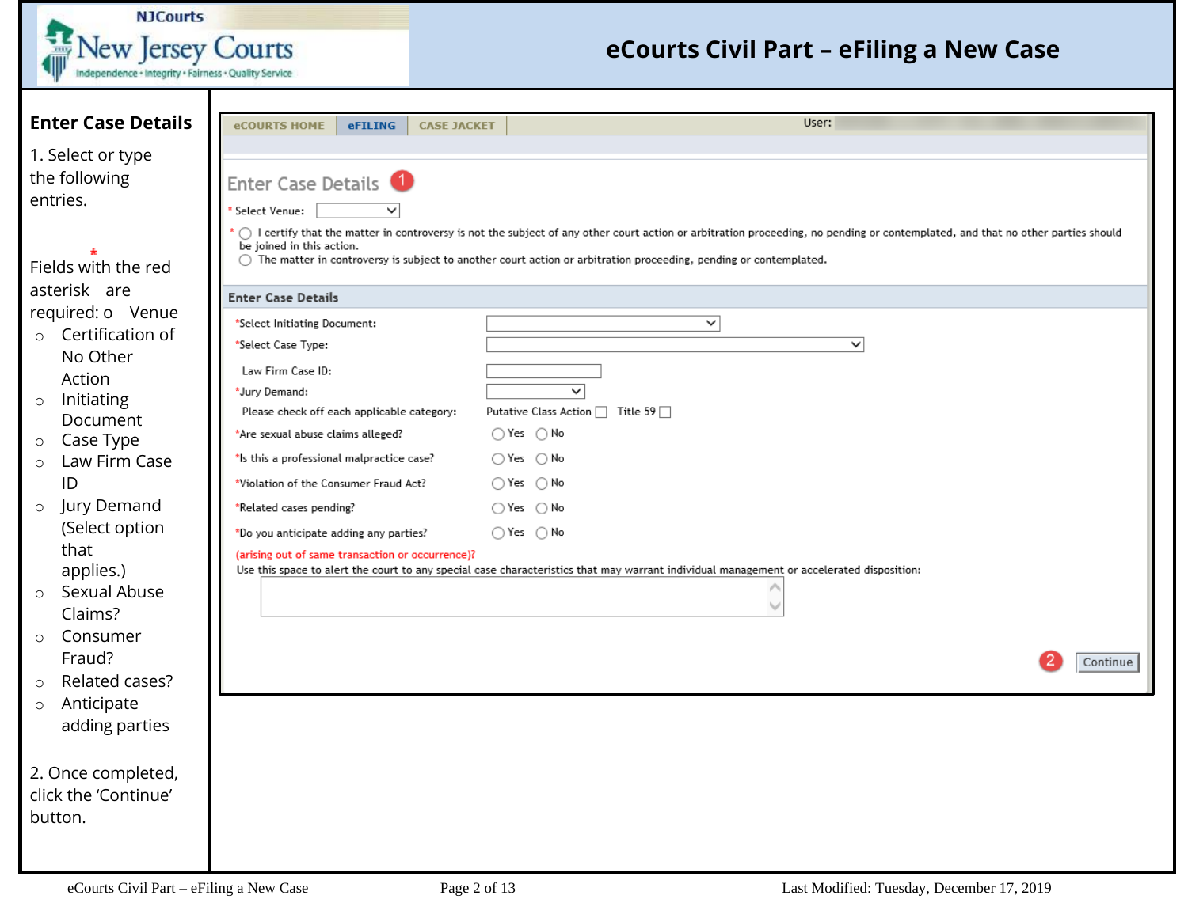| <b>NJCourts</b>                                      |                                                      |                                                                                                                                                                                          |
|------------------------------------------------------|------------------------------------------------------|------------------------------------------------------------------------------------------------------------------------------------------------------------------------------------------|
| <b>New Jersey Courts</b>                             |                                                      | eCourts Civil Part – eFiling a New Case                                                                                                                                                  |
| ndependence + Integrity + Fairness + Quality Service |                                                      |                                                                                                                                                                                          |
|                                                      |                                                      |                                                                                                                                                                                          |
| <b>Enter Case Details</b>                            | <b>eCOURTS HOME</b><br>eFILING<br><b>CASE JACKET</b> | User:                                                                                                                                                                                    |
| 1. Select or type                                    |                                                      |                                                                                                                                                                                          |
| the following                                        | Enter Case Details <sup>1</sup>                      |                                                                                                                                                                                          |
| entries.                                             | Select Venue:                                        |                                                                                                                                                                                          |
|                                                      |                                                      | $\bigcirc$ I certify that the matter in controversy is not the subject of any other court action or arbitration proceeding, no pending or contemplated, and that no other parties should |
| Fields with the red                                  | be joined in this action.                            | $\bigcirc$ The matter in controversy is subject to another court action or arbitration proceeding, pending or contemplated.                                                              |
| asterisk are                                         |                                                      |                                                                                                                                                                                          |
| required: o Venue                                    | <b>Enter Case Details</b>                            |                                                                                                                                                                                          |
| Certification of<br>$\circ$                          | *Select Initiating Document:                         | $\checkmark$                                                                                                                                                                             |
| No Other                                             | *Select Case Type:                                   | $\checkmark$                                                                                                                                                                             |
| Action                                               | Law Firm Case ID:<br>*Jury Demand:                   | $\checkmark$                                                                                                                                                                             |
| Initiating<br>$\circ$                                | Please check off each applicable category:           | Putative Class Action □ Title 59 □                                                                                                                                                       |
| Document<br>Case Type<br>$\circ$                     | *Are sexual abuse claims alleged?                    | $\bigcirc$ Yes $\bigcirc$ No                                                                                                                                                             |
| Law Firm Case<br>$\circ$                             | *Is this a professional malpractice case?            | $\bigcirc$ Yes $\bigcirc$ No                                                                                                                                                             |
| ID                                                   | *Violation of the Consumer Fraud Act?                | $\bigcirc$ Yes $\bigcirc$ No                                                                                                                                                             |
| Jury Demand<br>$\circ$                               | *Related cases pending?                              | $\bigcirc$ Yes $\bigcirc$ No                                                                                                                                                             |
| (Select option                                       | *Do you anticipate adding any parties?               | $\bigcirc$ Yes $\bigcirc$ No                                                                                                                                                             |
| that                                                 | (arising out of same transaction or occurrence)?     |                                                                                                                                                                                          |
| applies.)<br>Sexual Abuse<br>$\circ$                 |                                                      | Use this space to alert the court to any special case characteristics that may warrant individual management or accelerated disposition:                                                 |
| Claims?                                              |                                                      |                                                                                                                                                                                          |
| Consumer<br>$\Omega$                                 |                                                      |                                                                                                                                                                                          |
| Fraud?                                               |                                                      | Continue                                                                                                                                                                                 |
| Related cases?<br>$\circ$                            |                                                      |                                                                                                                                                                                          |
| Anticipate<br>$\circ$                                |                                                      |                                                                                                                                                                                          |
| adding parties                                       |                                                      |                                                                                                                                                                                          |
|                                                      |                                                      |                                                                                                                                                                                          |
| 2. Once completed,<br>click the 'Continue'           |                                                      |                                                                                                                                                                                          |
| button.                                              |                                                      |                                                                                                                                                                                          |
|                                                      |                                                      |                                                                                                                                                                                          |
|                                                      |                                                      |                                                                                                                                                                                          |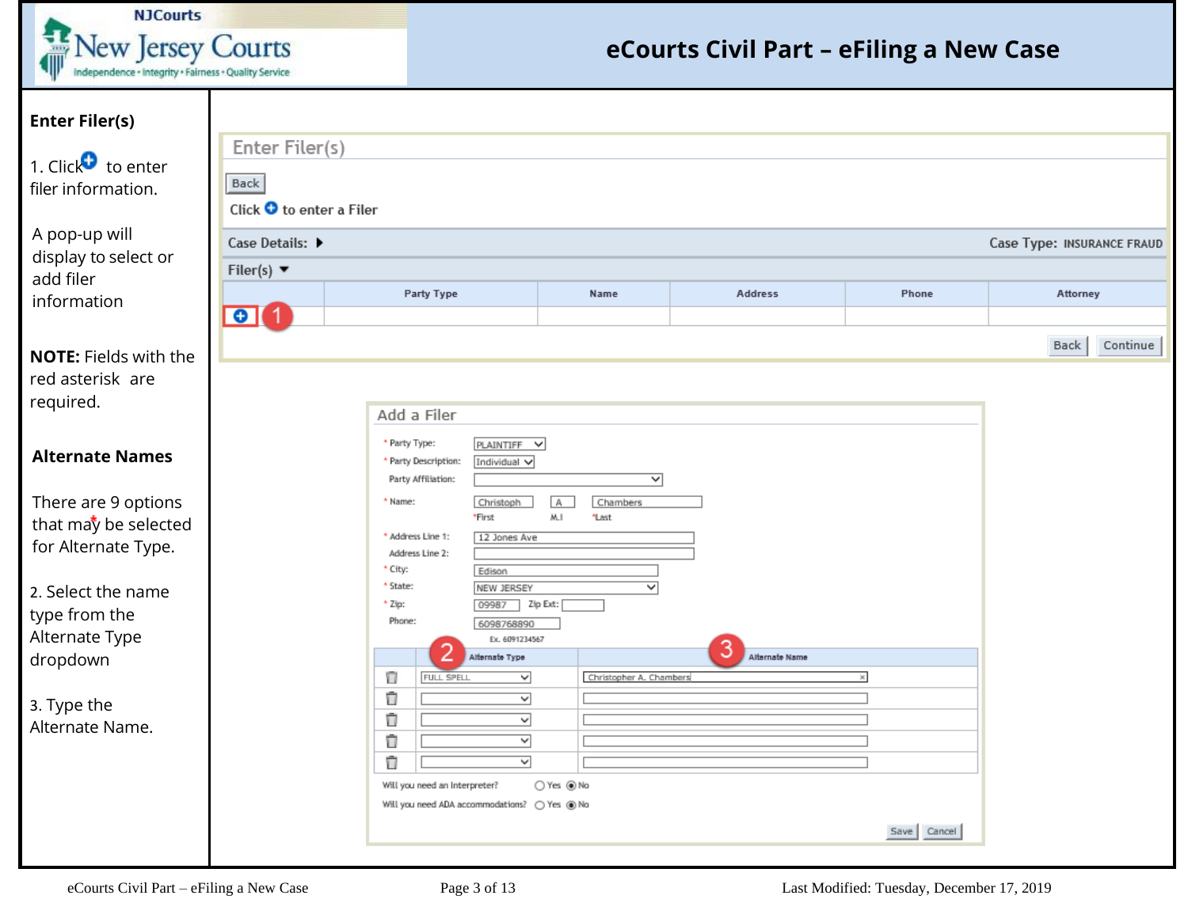| N <sub>1</sub> Courts                                                     |
|---------------------------------------------------------------------------|
| ew Jersey Courts<br>Independence + Integrity + Fairness + Quality Service |

| <b>Enter Filer(s)</b>                                              |                                  |                                         |                                                                           |                               |                |                |                            |          |  |  |  |  |
|--------------------------------------------------------------------|----------------------------------|-----------------------------------------|---------------------------------------------------------------------------|-------------------------------|----------------|----------------|----------------------------|----------|--|--|--|--|
|                                                                    | Enter Filer(s)                   |                                         |                                                                           |                               |                |                |                            |          |  |  |  |  |
| 1. Click $\bullet$ to enter<br>filer information.                  | Back<br>Click O to enter a Filer |                                         |                                                                           |                               |                |                |                            |          |  |  |  |  |
| A pop-up will                                                      | Case Details: ▶                  |                                         |                                                                           |                               |                |                | Case Type: INSURANCE FRAUD |          |  |  |  |  |
| display to select or<br>add filer                                  | Filer(s) $\blacktriangledown$    |                                         |                                                                           |                               |                |                |                            |          |  |  |  |  |
| information                                                        |                                  | Party Type                              |                                                                           |                               | Address        | Phone          | Attorney                   |          |  |  |  |  |
|                                                                    | $\bullet$ (1                     |                                         |                                                                           |                               |                |                |                            |          |  |  |  |  |
| <b>NOTE: Fields with the</b>                                       |                                  |                                         |                                                                           |                               |                |                | Back                       | Continue |  |  |  |  |
| red asterisk are<br>required.                                      |                                  |                                         | Add a Filer                                                               |                               |                |                |                            |          |  |  |  |  |
| <b>Alternate Names</b>                                             |                                  | * Party Type:                           | PLAINTIFF V<br>* Party Description:<br>Individual v<br>Party Affiliation: | ▽                             |                |                |                            |          |  |  |  |  |
| There are 9 options<br>that may be selected<br>for Alternate Type. |                                  | * Name:<br>* Address Line 1:<br>* City: | Christoph<br>*First<br>12 Jones Ave<br>Address Line 2:<br>Edison          | A<br>Chambers<br>M.I<br>*Last |                |                |                            |          |  |  |  |  |
| 2. Select the name                                                 |                                  | * State:<br>* Zip:                      | NEW JERSEY<br>09987 Zip Ext:                                              | ▽                             |                |                |                            |          |  |  |  |  |
| type from the                                                      |                                  | Phone:                                  | 6098768890                                                                |                               |                |                |                            |          |  |  |  |  |
| Alternate Type<br>dropdown                                         |                                  |                                         | Ex. 6091234567<br>Alternate Type                                          |                               | Alternate Name |                |                            |          |  |  |  |  |
|                                                                    |                                  | π                                       | ▽<br>FULL SPELL                                                           | Christopher A. Chambers       |                | $\times$       |                            |          |  |  |  |  |
| 3. Type the                                                        |                                  | Ū                                       | ⊻                                                                         |                               |                |                |                            |          |  |  |  |  |
| Alternate Name.                                                    |                                  | Ū                                       | $\overline{\phantom{0}}$                                                  |                               |                |                |                            |          |  |  |  |  |
|                                                                    |                                  | Ū                                       | ▽                                                                         |                               |                |                |                            |          |  |  |  |  |
|                                                                    |                                  | Ū                                       | $\overline{\mathsf{v}}$                                                   |                               |                |                |                            |          |  |  |  |  |
|                                                                    |                                  |                                         | Will you need an Interpreter?                                             | ○Yes ●No                      |                |                |                            |          |  |  |  |  |
|                                                                    |                                  |                                         |                                                                           |                               |                |                |                            |          |  |  |  |  |
|                                                                    |                                  |                                         |                                                                           |                               |                | Cancel<br>Save |                            |          |  |  |  |  |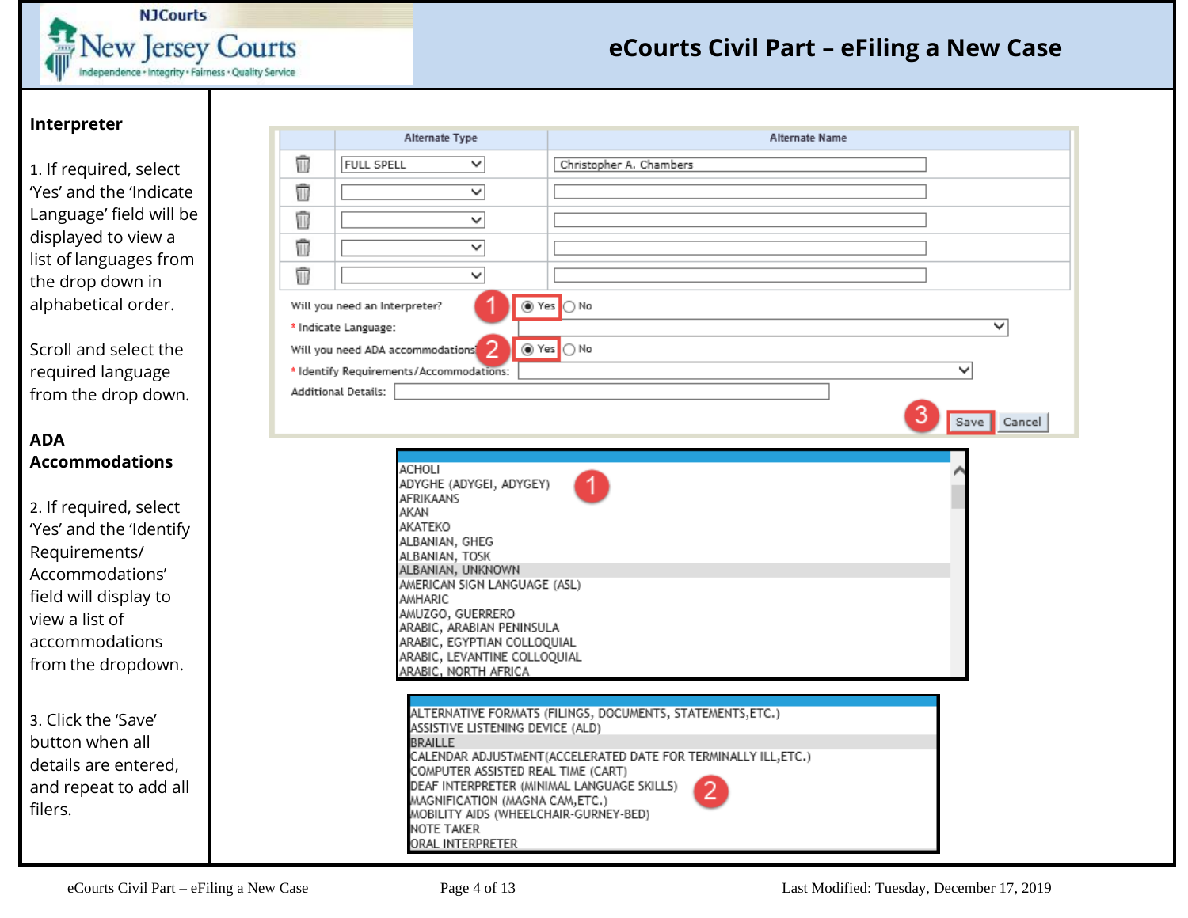![](_page_3_Picture_0.jpeg)

#### **Interpreter**

1. If required, select 'Yes' and the 'Indicate Language' field will be displayed to view a list of languages from the drop down in alphabetical order.

Scroll and select the required language from the drop down.

#### **ADA Accommodations**

2. If required, select 'Yes' and the 'Identify Requirements/ Accommodations' field will display to view a list of accommodations from the dropdown.

3. Click the 'Save' button when all details are entered, and repeat to add all filers.

|   | Alternate Type                                                                                                                                                                                                                                                                                                              | <b>Alternate Name</b>                                                                                                       |
|---|-----------------------------------------------------------------------------------------------------------------------------------------------------------------------------------------------------------------------------------------------------------------------------------------------------------------------------|-----------------------------------------------------------------------------------------------------------------------------|
| Ŵ | $\checkmark$<br><b>FULL SPELL</b>                                                                                                                                                                                                                                                                                           | Christopher A. Chambers                                                                                                     |
| û | $\overline{\check{}}$                                                                                                                                                                                                                                                                                                       |                                                                                                                             |
| û | $\checkmark$                                                                                                                                                                                                                                                                                                                |                                                                                                                             |
| Ū | $\overline{\check{}}$                                                                                                                                                                                                                                                                                                       |                                                                                                                             |
| Ŵ | $\checkmark$                                                                                                                                                                                                                                                                                                                |                                                                                                                             |
|   | Will you need an Interpreter?<br>* Indicate Language:<br>Will you need ADA accommodations<br>* Identify Requirements/Accommodations:<br><b>Additional Details:</b>                                                                                                                                                          | tes ONo<br>✓<br>tes ONo<br>Save Cancel                                                                                      |
|   | <b>ACHOLI</b><br>ADYGHE (ADYGEI, ADYGEY)<br><b>AFRIKAANS</b><br>AKAN<br>AKATEKO<br>ALBANIAN, GHEG<br>ALBANIAN, TOSK<br>ALBANIAN, UNKNOWN<br>AMERICAN SIGN LANGUAGE (ASL)<br>AMHARIC<br>AMUZGO, GUERRERO<br>ARABIC, ARABIAN PENINSULA<br>ARABIC, EGYPTIAN COLLOQUIAL<br>ARABIC, LEVANTINE COLLOQUIAL<br>ARABIC, NORTH AFRICA |                                                                                                                             |
|   | ASSISTIVE LISTENING DEVICE (ALD)<br><b>BRAILLE</b><br>COMPUTER ASSISTED REAL TIME (CART)<br>DEAF INTERPRETER (MINIMAL LANGUAGE SKILLS)<br>MAGNIFICATION (MAGNA CAM,ETC.)<br>MOBILITY AIDS (WHEELCHAIR-GURNEY-BED)<br>NOTE TAKER<br>ORAL INTERPRETER                                                                         | ALTERNATIVE FORMATS (FILINGS, DOCUMENTS, STATEMENTS,ETC.)<br>CALENDAR ADJUSTMENT(ACCELERATED DATE FOR TERMINALLY ILL, ETC.) |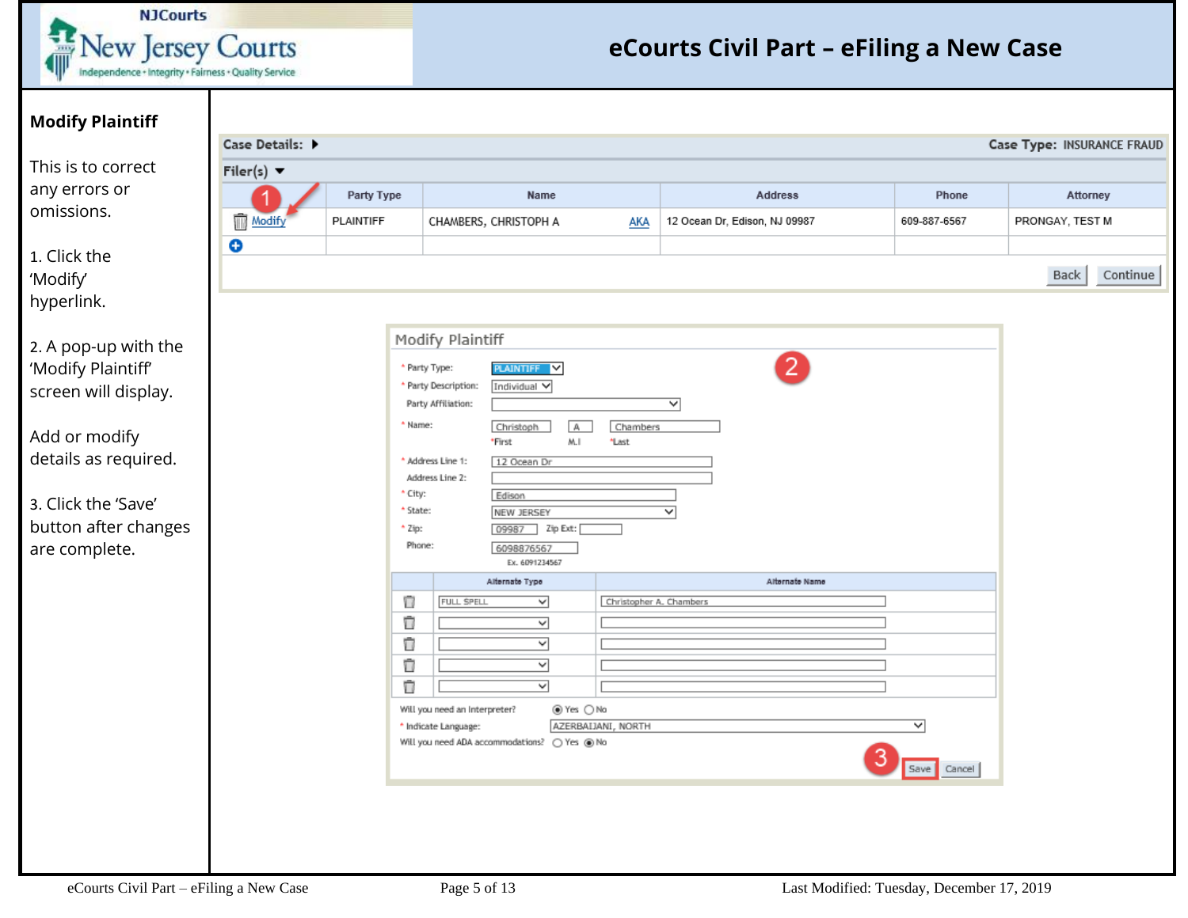![](_page_4_Picture_0.jpeg)

| <b>Modify Plaintiff</b>                                                                                                                                                     |                                     |                                            |                                                                                                                                                                                                                                                                                                 |                         |                                    |                  |                            |          |
|-----------------------------------------------------------------------------------------------------------------------------------------------------------------------------|-------------------------------------|--------------------------------------------|-------------------------------------------------------------------------------------------------------------------------------------------------------------------------------------------------------------------------------------------------------------------------------------------------|-------------------------|------------------------------------|------------------|----------------------------|----------|
|                                                                                                                                                                             | Case Details: $\blacktriangleright$ |                                            |                                                                                                                                                                                                                                                                                                 |                         |                                    |                  | Case Type: INSURANCE FRAUI |          |
| This is to correct                                                                                                                                                          | Filer(s) $\blacktriangledown$       |                                            |                                                                                                                                                                                                                                                                                                 |                         |                                    |                  |                            |          |
| any errors or                                                                                                                                                               |                                     | Party Type                                 | Name                                                                                                                                                                                                                                                                                            |                         | <b>Address</b>                     | Phone            | Attorney                   |          |
| omissions.                                                                                                                                                                  | Ŵ<br>Modify                         | PLAINTIFF                                  | CHAMBERS, CHRISTOPH A                                                                                                                                                                                                                                                                           | <b>AKA</b>              | 12 Ocean Dr, Edison, NJ 09987      | 609-887-6567     | PRONGAY, TEST M            |          |
| 1. Click the<br>'Modify'<br>hyperlink.                                                                                                                                      | $\bullet$                           |                                            |                                                                                                                                                                                                                                                                                                 |                         |                                    |                  | Back                       | Continue |
| 2. A pop-up with the<br>'Modify Plaintiff'<br>screen will display.<br>Add or modify<br>details as required.<br>3. Click the 'Save'<br>button after changes<br>are complete. |                                     | * Name:<br>* City:<br>* State:<br>$+$ Zip: | Modify Plaintiff<br>PLAINTIFF V<br>* Party Type:<br>* Party Description:<br>Individual V<br>Party Affiliation:<br>Christoph<br>IА.<br>M.I<br>*First<br>Address Line 1:<br>12 Ocean Dr<br>Address Line 2:<br>Edison<br>NEW JERSEY<br>Zip Ext:<br>09987<br>Phone:<br>6098876567<br>Ex. 6091234567 | Chambers<br>*Last       | 2<br>$\overline{\phantom{0}}$<br>▽ |                  |                            |          |
|                                                                                                                                                                             |                                     | Ū<br>Ū<br>Ū<br>Ū<br>Ū                      | Alternate Type<br>FULL SPELL<br>$\checkmark$<br>$\overline{\phantom{0}}$<br>$\overline{\phantom{0}}$<br>▽<br>$\checkmark$<br>Will you need an Interpreter?<br>⊛Yes ○No<br>AZERBAIJANI, NORTH<br>* Indicate Language:<br>Will you need ADA accommodations? O Yes @ No                            | Christopher A. Chambers | Alternate Name                     | v<br>Save Cancel |                            |          |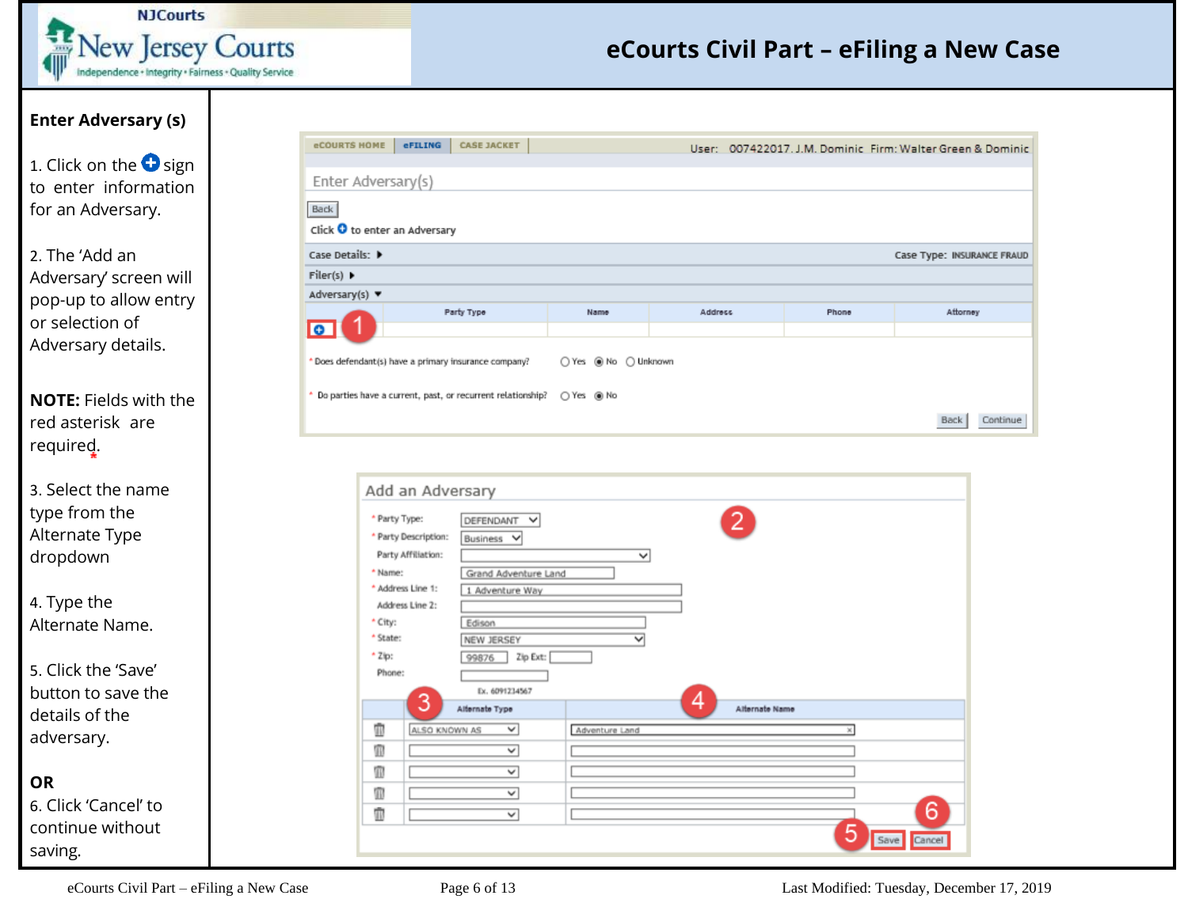![](_page_5_Picture_0.jpeg)

### **Enter Adversary (s)**

1. Click on the  $\bullet$  sign to enter information for an Adversary.

2. The 'Add an Adversary' screen will pop-up to allow entry or selection of Adversary details.

**NOTE:** Fields with the red asterisk are required.

3. Select the name type from the Alternate Type dropdown

4. Type the Alternate Name.

5. Click the 'Save' button to save the details of the adversary.

**OR**

6. Click 'Cancel' to continue without saving.

| <b>eCOURTS HOME</b>                           | eFILING<br><b>CASE JACKET</b>                                          |      |         |       | User: 007422017. J.M. Dominic Firm: Walter Green & Dominic |  |  |  |  |
|-----------------------------------------------|------------------------------------------------------------------------|------|---------|-------|------------------------------------------------------------|--|--|--|--|
| Enter Adversary(s)                            |                                                                        |      |         |       |                                                            |  |  |  |  |
| Back                                          |                                                                        |      |         |       |                                                            |  |  |  |  |
| Click O to enter an Adversary                 |                                                                        |      |         |       |                                                            |  |  |  |  |
| Case Details: D<br>Case Type: INSURANCE FRAUD |                                                                        |      |         |       |                                                            |  |  |  |  |
| Filer(s) $\blacktriangleright$                |                                                                        |      |         |       |                                                            |  |  |  |  |
| Adversary(s) $\blacktriangledown$             |                                                                        |      |         |       |                                                            |  |  |  |  |
|                                               | Party Type                                                             | Name | Address | Phone | Attorney                                                   |  |  |  |  |
| Ιe                                            |                                                                        |      |         |       |                                                            |  |  |  |  |
|                                               | * Does defendant(s) have a primary insurance company?                  |      |         |       |                                                            |  |  |  |  |
|                                               | Do parties have a current, past, or recurrent relationship? ○ Yes ● No |      |         |       |                                                            |  |  |  |  |
|                                               |                                                                        |      |         |       | Back<br>Continue                                           |  |  |  |  |

|          | * Party Type:        | DEFENDANT<br>v           |                |   | 2.             |              |   |
|----------|----------------------|--------------------------|----------------|---|----------------|--------------|---|
|          | * Party Description: | Business<br>v            |                |   |                |              |   |
|          | Party Affiliation:   |                          | $\checkmark$   |   |                |              |   |
| * Name:  |                      | Grand Adventure Land     |                |   |                |              |   |
|          | * Address Line 1:    | 1 Adventure Way          |                |   |                |              |   |
|          | Address Line 2:      |                          |                |   |                |              |   |
| * City:  |                      | Edison                   |                |   |                |              |   |
| * State: |                      | NEW JERSEY               | $\checkmark$   |   |                |              |   |
| $+2ip$ : |                      | Zip Ext:<br>99876        |                |   |                |              |   |
| Phone:   |                      |                          |                |   |                |              |   |
|          |                      | Ex. 6091234567           |                |   |                |              |   |
|          | 3                    | Alternate Type           |                | 4 | Alternate Name |              |   |
| Ŵ        | ALSO KNOWN AS        | ✓                        | Adventure Land |   |                | $\mathbf{x}$ |   |
| Ŵ        |                      | $\overline{\phantom{0}}$ |                |   |                |              |   |
| Ŵ        |                      | $\overline{\phantom{0}}$ |                |   |                |              |   |
| Ŵ        |                      | $\checkmark$             |                |   |                |              |   |
| Ŵ        |                      | V                        |                |   |                |              | 6 |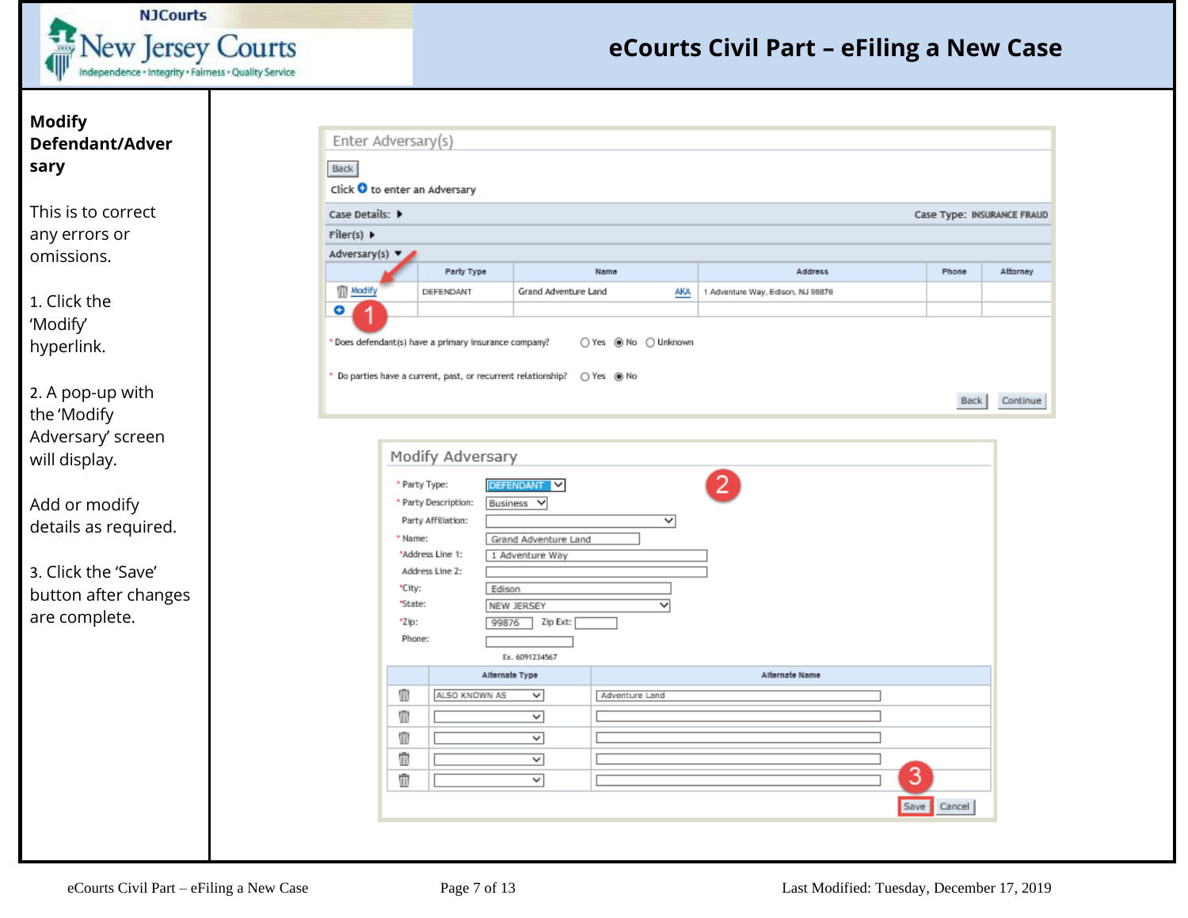![](_page_6_Picture_0.jpeg)

### **Modify Defendant/Adver sary**

This is to correct any errors or omissions.

1. Click the 'Modify' hyperlink.

2. A pop-up with the 'Modify Adversary' screen will display.

Add or modify details as required.

3. Click the 'Save' button after changes are complete.

| Click O to enter an Adversary         |                                                                                        |                                                                                     |                |                                   |   |                            |  |
|---------------------------------------|----------------------------------------------------------------------------------------|-------------------------------------------------------------------------------------|----------------|-----------------------------------|---|----------------------------|--|
| Case Details: ▶                       |                                                                                        |                                                                                     |                |                                   |   | Case Type: INSURANCE FRAUD |  |
| $Filter(s) \rightarrow$               |                                                                                        |                                                                                     |                |                                   |   |                            |  |
| Adversary(s) $\blacktriangledown$     | Party Type                                                                             | Name                                                                                |                | Address                           |   | Phone                      |  |
| Modify                                | DEFENDANT                                                                              | Grand Adventure Land                                                                | <b>AKA</b>     | 1 Adventure Way, Edison, NJ 99876 |   |                            |  |
| O                                     |                                                                                        |                                                                                     |                |                                   |   |                            |  |
|                                       |                                                                                        |                                                                                     |                |                                   |   |                            |  |
|                                       |                                                                                        | * Do parties have a current, past, or recurrent relationship? ( ) Yes ( ) No        |                |                                   |   | Back                       |  |
|                                       | * Party Description:                                                                   | Business V                                                                          |                |                                   |   |                            |  |
| * Name:<br>*City:<br>"State:<br>*Zip: | Party Affiliation:<br>*Address Line 1:<br>Address Line 2:<br>Edison<br>99876<br>Phone: | Grand Adventure Land<br>1 Adventure Way<br>NEW JERSEY<br>Zip Ext:<br>Ex. 6091234567 | ▽<br>▽         |                                   |   |                            |  |
|                                       |                                                                                        | Alternate Type                                                                      |                | Alternate Name                    |   |                            |  |
| Ŵ                                     | ALSO KNOWN AS                                                                          | v                                                                                   | Adventure Land |                                   |   |                            |  |
| Ŵ                                     |                                                                                        | $\overline{\phantom{0}}$                                                            |                |                                   |   |                            |  |
| Ŵ                                     |                                                                                        | $\checkmark$                                                                        |                |                                   |   |                            |  |
| ŵ<br>ŵ                                |                                                                                        | v<br>v                                                                              |                |                                   | 3 |                            |  |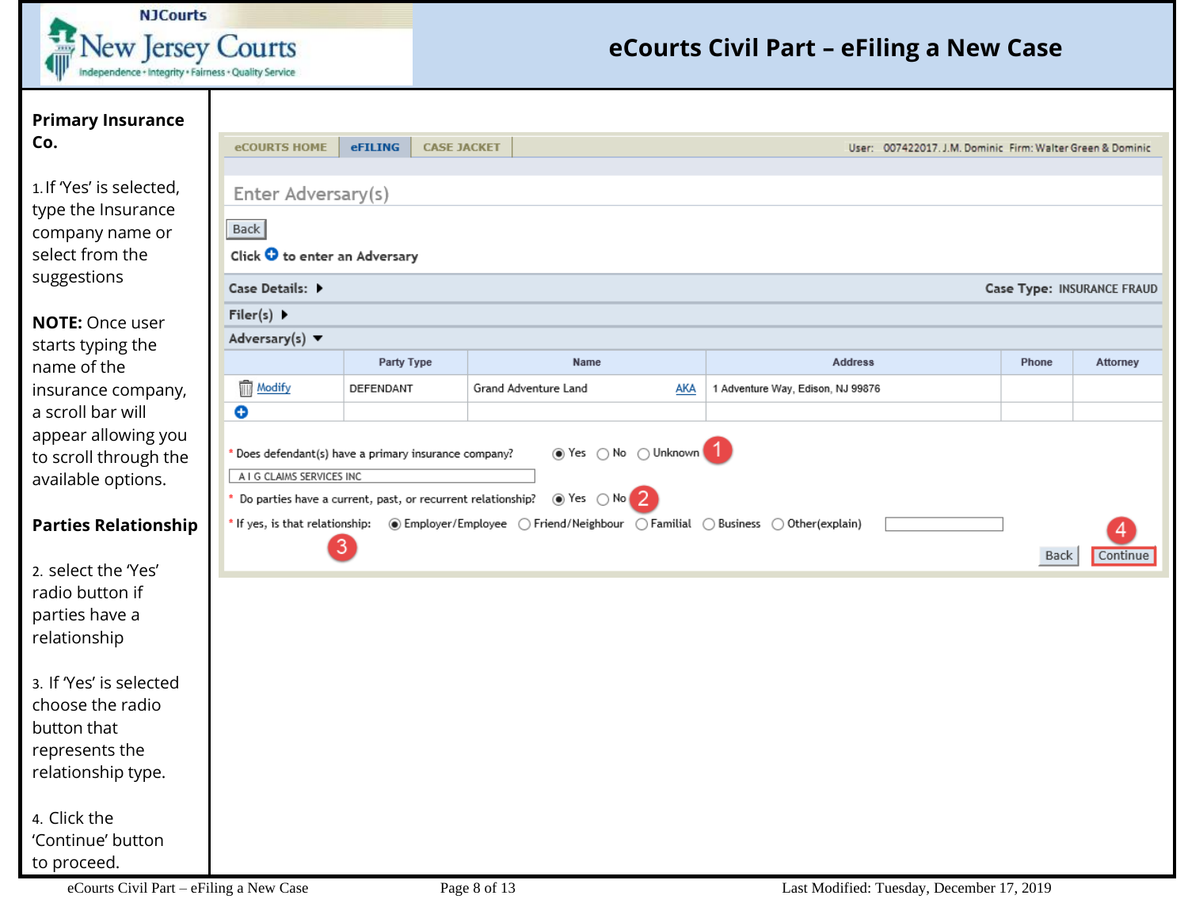![](_page_7_Picture_0.jpeg)

| <b>Primary Insurance</b>                                                                            |                                                                                                              |                  |                    |                      |            |                                                                                                                         |       |                            |  |  |  |
|-----------------------------------------------------------------------------------------------------|--------------------------------------------------------------------------------------------------------------|------------------|--------------------|----------------------|------------|-------------------------------------------------------------------------------------------------------------------------|-------|----------------------------|--|--|--|
| Co.                                                                                                 | <b>eCOURTS HOME</b>                                                                                          | eFILING          | <b>CASE JACKET</b> |                      |            | User: 007422017. J.M. Dominic Firm: Walter Green & Dominic                                                              |       |                            |  |  |  |
| 1. If 'Yes' is selected,<br>type the Insurance<br>company name or<br>select from the<br>suggestions | Enter Adversary(s)<br>Back<br>Click $\bullet$ to enter an Adversary<br>Case Details: ▶                       |                  |                    |                      |            |                                                                                                                         |       | Case Type: INSURANCE FRAUD |  |  |  |
| <b>NOTE: Once user</b>                                                                              | $Filer(s)$ $\blacktriangleright$                                                                             |                  |                    |                      |            |                                                                                                                         |       |                            |  |  |  |
| starts typing the                                                                                   | Adversary(s) $\blacktriangledown$                                                                            |                  |                    |                      |            |                                                                                                                         |       |                            |  |  |  |
| name of the                                                                                         |                                                                                                              | Party Type       |                    | Name                 |            | <b>Address</b>                                                                                                          | Phone | Attorney                   |  |  |  |
| insurance company,                                                                                  | <b>Modify</b>                                                                                                | DEFENDANT        |                    | Grand Adventure Land | <b>AKA</b> | 1 Adventure Way, Edison, NJ 99876                                                                                       |       |                            |  |  |  |
| a scroll bar will                                                                                   | Θ                                                                                                            |                  |                    |                      |            |                                                                                                                         |       |                            |  |  |  |
| appear allowing you<br>to scroll through the                                                        | ● Yes ○ No ○ Unknown 1<br>* Does defendant(s) have a primary insurance company?<br>A I G CLAIMS SERVICES INC |                  |                    |                      |            |                                                                                                                         |       |                            |  |  |  |
| available options.                                                                                  | $\circledcirc$ Yes $\circledcirc$ No<br>Do parties have a current, past, or recurrent relationship?          |                  |                    |                      |            |                                                                                                                         |       |                            |  |  |  |
| <b>Parties Relationship</b>                                                                         |                                                                                                              | $\left 3\right $ |                    |                      |            | * If yes, is that relationship: (a) Employer/Employee (2) Friend/Neighbour (2) Familial (2) Business (2) Other(explain) | Back  | Continue                   |  |  |  |
| 2. select the 'Yes'                                                                                 |                                                                                                              |                  |                    |                      |            |                                                                                                                         |       |                            |  |  |  |
| radio button if                                                                                     |                                                                                                              |                  |                    |                      |            |                                                                                                                         |       |                            |  |  |  |
| parties have a                                                                                      |                                                                                                              |                  |                    |                      |            |                                                                                                                         |       |                            |  |  |  |
| relationship                                                                                        |                                                                                                              |                  |                    |                      |            |                                                                                                                         |       |                            |  |  |  |
| 3. If 'Yes' is selected                                                                             |                                                                                                              |                  |                    |                      |            |                                                                                                                         |       |                            |  |  |  |
| choose the radio                                                                                    |                                                                                                              |                  |                    |                      |            |                                                                                                                         |       |                            |  |  |  |
| button that                                                                                         |                                                                                                              |                  |                    |                      |            |                                                                                                                         |       |                            |  |  |  |
| represents the                                                                                      |                                                                                                              |                  |                    |                      |            |                                                                                                                         |       |                            |  |  |  |
| relationship type.                                                                                  |                                                                                                              |                  |                    |                      |            |                                                                                                                         |       |                            |  |  |  |
| 4. Click the                                                                                        |                                                                                                              |                  |                    |                      |            |                                                                                                                         |       |                            |  |  |  |
| 'Continue' button                                                                                   |                                                                                                              |                  |                    |                      |            |                                                                                                                         |       |                            |  |  |  |

to proceed.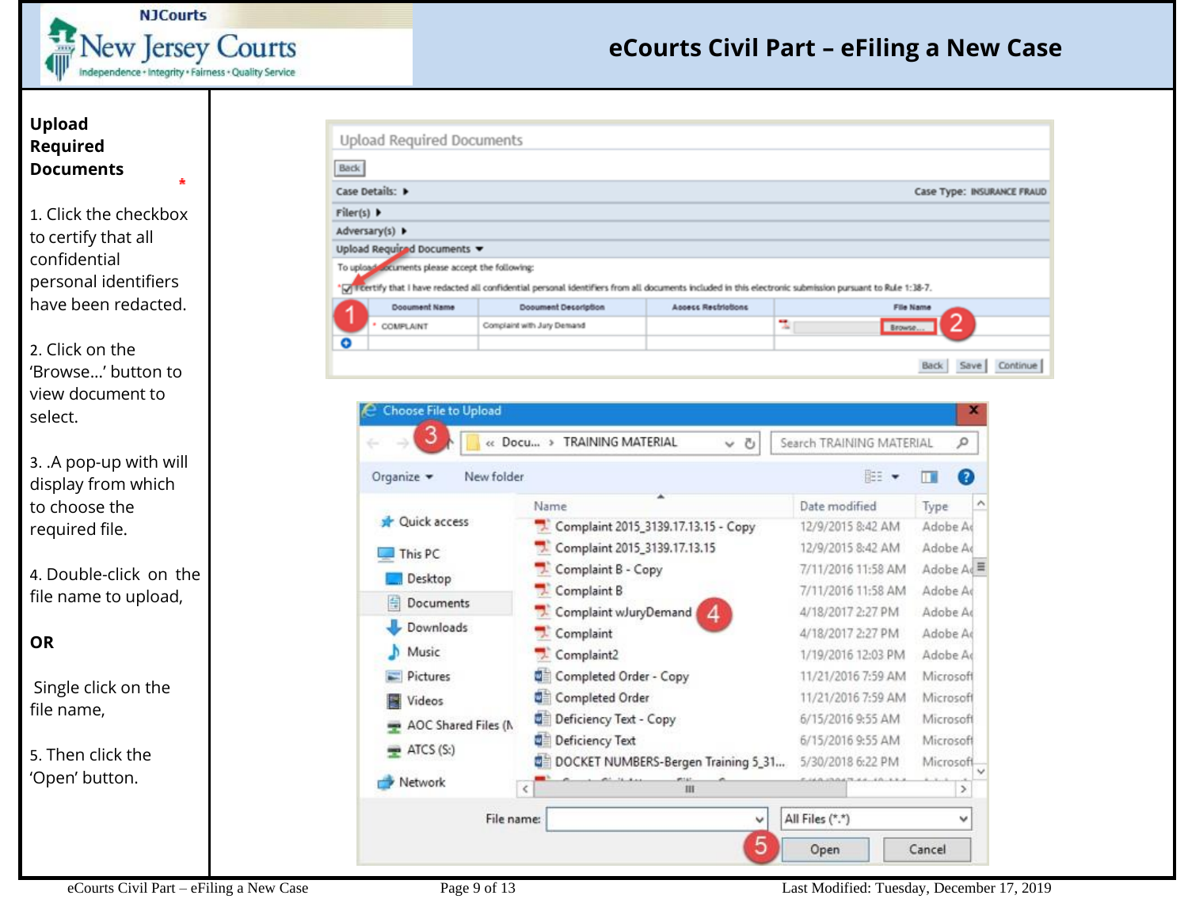![](_page_8_Picture_0.jpeg)

 $\Delta$ 

## **eCourts Civil Part – eFiling a New Case**

#### **Upload Required Documents**

1. Click the checkbox to certify that all confidential personal identifiers have been redacted.

2. Click on the 'Browse...' button to view document to select.

3. .A pop-up with will display from which to choose the required file.

4. Double-click on the file name to upload,

### **OR**

Single click on the file name,

5. Then click the 'Open' button.

| <b>Back</b>               |                                                  |                                                                                                                                                             |                            |                            |
|---------------------------|--------------------------------------------------|-------------------------------------------------------------------------------------------------------------------------------------------------------------|----------------------------|----------------------------|
|                           | Case Details: D                                  |                                                                                                                                                             |                            | Case Type: INSURANCE FRAUD |
| $Filter(s)$ $\rightarrow$ |                                                  |                                                                                                                                                             |                            |                            |
|                           | Adversary(s) D                                   |                                                                                                                                                             |                            |                            |
|                           | Upload Required Documents                        |                                                                                                                                                             |                            |                            |
|                           | To upload cocuments please accept the following: | >7. Treertify that I have redacted all confidential personal identifiers from all documents included in this electronic submission pursuant to Rule 1:38-7. |                            |                            |
|                           | Dooument Name                                    | Dooument Description                                                                                                                                        | <b>Appecs Restriations</b> | File Name                  |
|                           | COMPLAINT                                        | Complaint with Jury Demand                                                                                                                                  |                            | u.<br>Browse               |
|                           |                                                  |                                                                                                                                                             |                            |                            |

![](_page_8_Picture_11.jpeg)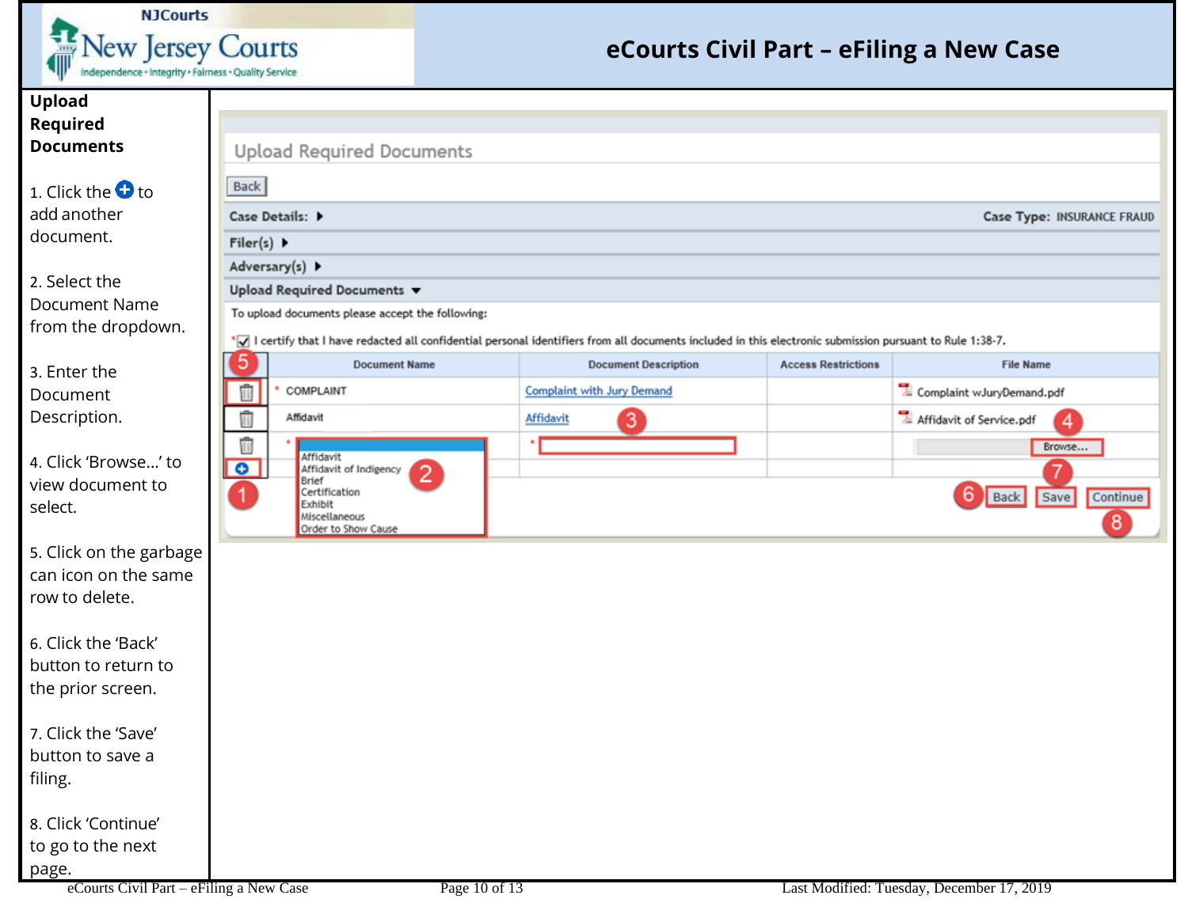![](_page_9_Picture_0.jpeg)

**Back** 

Filer(s)  $\blacktriangleright$ Adversary(s) >

5

û

û

û

 $\bullet$ 

1

Case Details:  $\blacktriangleright$ 

**Upload Required Documents** 

To upload documents please accept the following:

**Document Name** 

 $\mathcal{P}$ 

Upload Required Documents ▼

COMPLAINT

Affidavit

Certification

Brief

Exhibit Miscellaneous

Affidavit of Indigency

Order to Show Cause

Affidavit

### **eCourts Civil Part – eFiling a New Case**

**Access Restrictions** 

**Case Type: INSURANCE FRAUD** 

4

Browse...

Save

Continue

 $\sqrt{8}$ 

**File Name** 

Complaint wJuryDemand.pdf

Affidavit of Service.pdf

6

**Back** 

#### **Upload Required Documents**

1. Click the  $\bullet$  to add another document.

2. Select the Document Name from the dropdown.

3. Enter the Document Description.

4. Click 'Browse…' to view document to select.

5. Click on the garbage can icon on the same row to delete.

6. Click the 'Back' button to return to the prior screen.

7. Click the 'Save' button to save a filing.

8. Click 'Continue' to go to the next page.

\*7 l certify that I have redacted all confidential personal identifiers from all documents included in this electronic submission pursuant to Rule 1:38-7.

**Complaint with Jury Demand** 

Affidavit

**Document Description** 

3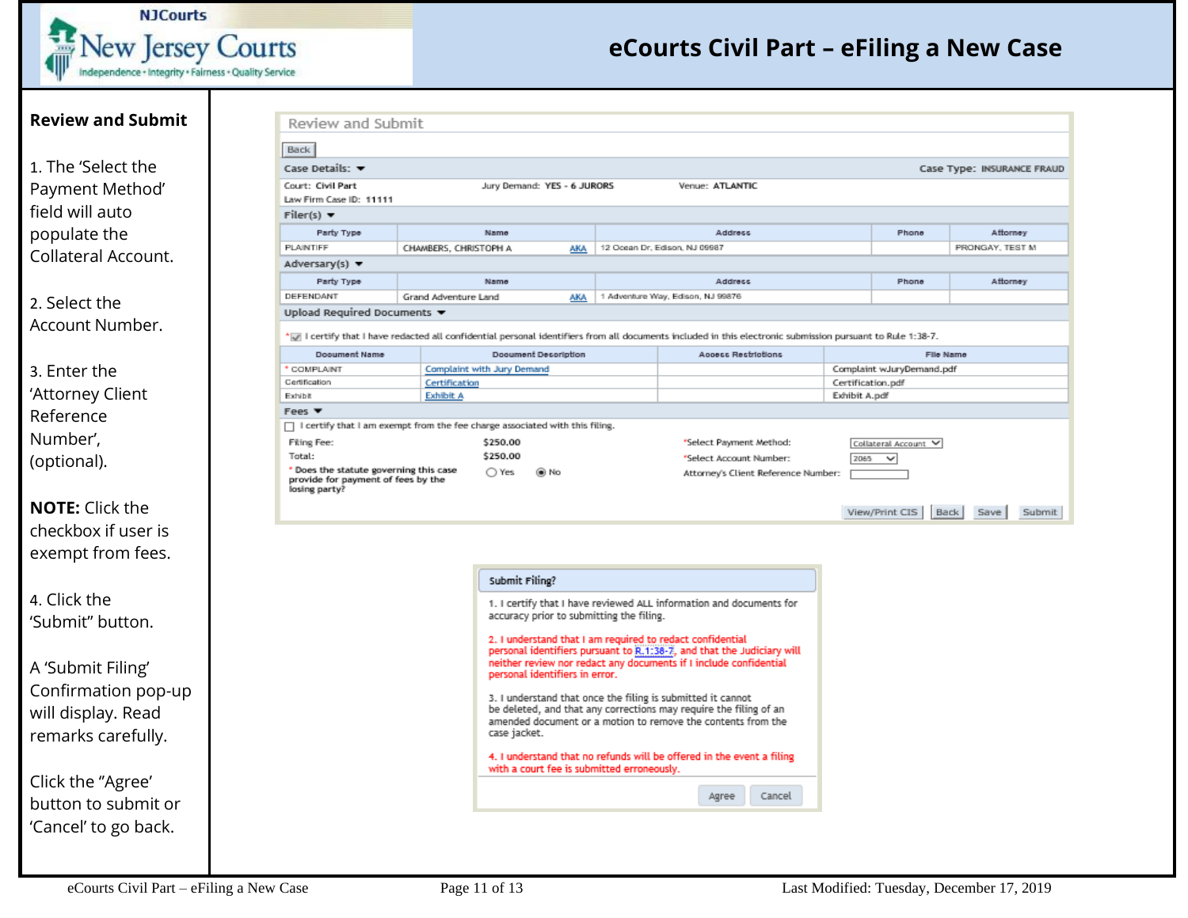![](_page_10_Picture_0.jpeg)

| <b>Review and Submit</b> | Review and Submit                                                                                                                                       |                       |  |                            |                                                                                                                                             |                                   |                         |                                     |               |                           |                 |                            |
|--------------------------|---------------------------------------------------------------------------------------------------------------------------------------------------------|-----------------------|--|----------------------------|---------------------------------------------------------------------------------------------------------------------------------------------|-----------------------------------|-------------------------|-------------------------------------|---------------|---------------------------|-----------------|----------------------------|
|                          | <b>Back</b>                                                                                                                                             |                       |  |                            |                                                                                                                                             |                                   |                         |                                     |               |                           |                 |                            |
| 1. The 'Select the       | Case Details: v                                                                                                                                         |                       |  |                            |                                                                                                                                             |                                   |                         |                                     |               |                           |                 | Case Type: INSURANCE FRAUI |
| Payment Method'          | Court: Civil Part                                                                                                                                       |                       |  |                            | Jury Demand: YES - 6 JURORS                                                                                                                 |                                   | Venue: ATLANTIC         |                                     |               |                           |                 |                            |
| field will auto          | Law Firm Case ID: 11111                                                                                                                                 |                       |  |                            |                                                                                                                                             |                                   |                         |                                     |               |                           |                 |                            |
|                          | Filer(s) $\blacktriangledown$                                                                                                                           |                       |  |                            |                                                                                                                                             |                                   |                         |                                     |               |                           |                 |                            |
| populate the             | Party Type                                                                                                                                              |                       |  | Name                       |                                                                                                                                             |                                   | Address                 |                                     |               | Phone                     |                 | Attorney                   |
| Collateral Account.      | PLAINTIFF<br>Adversary(s) $\blacktriangledown$                                                                                                          | CHAWBERS, CHRISTOPH A |  |                            | <u>AKA</u>                                                                                                                                  | 12 Ocean Dr., Edison, NJ 09987    |                         |                                     |               |                           | PRONGAY, TEST M |                            |
|                          | Party Type                                                                                                                                              |                       |  | Name                       |                                                                                                                                             |                                   | Address                 |                                     |               | Phone                     |                 | Attorney                   |
|                          | DEFENDANT                                                                                                                                               | Grand Adventure Land  |  |                            | AKA                                                                                                                                         | 1 Adventure Way, Edison, NJ 99876 |                         |                                     |               |                           |                 |                            |
| 2. Select the            | Upload Required Documents $\blacktriangledown$                                                                                                          |                       |  |                            |                                                                                                                                             |                                   |                         |                                     |               |                           |                 |                            |
| Account Number.          | I certify that I have redacted all confidential personal identifiers from all documents included in this electronic submission pursuant to Rule 1:38-7. |                       |  |                            |                                                                                                                                             |                                   |                         |                                     |               |                           |                 |                            |
|                          | Dooument Name                                                                                                                                           |                       |  |                            | Dooument Decoription                                                                                                                        |                                   | Access Restrictions     |                                     |               |                           | File Name       |                            |
| 3. Enter the             | <b>COMPLAINT</b>                                                                                                                                        |                       |  | Complaint with Jury Demand |                                                                                                                                             |                                   |                         |                                     |               | Complaint wJuryDemand.pdf |                 |                            |
| 'Attorney Client         | Certification<br>Certification<br>Exhibit<br><b>Exhibit A</b>                                                                                           |                       |  |                            |                                                                                                                                             |                                   |                         |                                     | Exhibit A.pdf | Certification.pdf         |                 |                            |
|                          | Fees $\Psi$                                                                                                                                             |                       |  |                            |                                                                                                                                             |                                   |                         |                                     |               |                           |                 |                            |
| Reference                | □ I certify that I am exempt from the fee charge associated with this filing.                                                                           |                       |  |                            |                                                                                                                                             |                                   |                         |                                     |               |                           |                 |                            |
| Number',                 | <b>Filing Fee:</b>                                                                                                                                      |                       |  | \$250.00                   |                                                                                                                                             |                                   | "Select Payment Method: |                                     |               | Collateral Account V      |                 |                            |
| (optional).              | Total:                                                                                                                                                  |                       |  | \$250.00                   |                                                                                                                                             |                                   | *Select Account Number: |                                     | 2065          | $\checkmark$              |                 |                            |
|                          | * Does the statute governing this case<br>provide for payment of fees by the<br>losing party?                                                           |                       |  | ○ Yes                      | ⊛ No                                                                                                                                        |                                   |                         | Attorney's Client Reference Number: |               |                           |                 |                            |
| <b>NOTE:</b> Click the   |                                                                                                                                                         |                       |  |                            |                                                                                                                                             |                                   |                         |                                     |               | View/Print CIS            | Back<br>Save    | Submit                     |
| checkbox if user is      |                                                                                                                                                         |                       |  |                            |                                                                                                                                             |                                   |                         |                                     |               |                           |                 |                            |
|                          |                                                                                                                                                         |                       |  |                            |                                                                                                                                             |                                   |                         |                                     |               |                           |                 |                            |
| exempt from fees.        |                                                                                                                                                         |                       |  |                            |                                                                                                                                             |                                   |                         |                                     |               |                           |                 |                            |
|                          |                                                                                                                                                         |                       |  | Submit Filing?             |                                                                                                                                             |                                   |                         |                                     |               |                           |                 |                            |
| 4. Click the             |                                                                                                                                                         |                       |  |                            | 1. I certify that I have reviewed ALL information and documents for                                                                         |                                   |                         |                                     |               |                           |                 |                            |
| 'Submit" button.         |                                                                                                                                                         |                       |  |                            | accuracy prior to submitting the filing.                                                                                                    |                                   |                         |                                     |               |                           |                 |                            |
|                          |                                                                                                                                                         |                       |  |                            | 2. I understand that I am required to redact confidential                                                                                   |                                   |                         |                                     |               |                           |                 |                            |
|                          |                                                                                                                                                         |                       |  |                            | personal identifiers pursuant to R.1:38-7, and that the Judiciary will<br>neither review nor redact any documents if I include confidential |                                   |                         |                                     |               |                           |                 |                            |
| A 'Submit Filing'        |                                                                                                                                                         |                       |  |                            | personal identifiers in error.                                                                                                              |                                   |                         |                                     |               |                           |                 |                            |
| Confirmation pop-up      |                                                                                                                                                         |                       |  |                            | 3. I understand that once the filing is submitted it cannot                                                                                 |                                   |                         |                                     |               |                           |                 |                            |
| will display. Read       |                                                                                                                                                         |                       |  |                            | be deleted, and that any corrections may require the filing of an                                                                           |                                   |                         |                                     |               |                           |                 |                            |
| remarks carefully.       |                                                                                                                                                         |                       |  | case jacket.               | amended document or a motion to remove the contents from the                                                                                |                                   |                         |                                     |               |                           |                 |                            |
|                          |                                                                                                                                                         |                       |  |                            | 4. I understand that no refunds will be offered in the event a filing                                                                       |                                   |                         |                                     |               |                           |                 |                            |
|                          |                                                                                                                                                         |                       |  |                            | with a court fee is submitted erroneously.                                                                                                  |                                   |                         |                                     |               |                           |                 |                            |
| Click the "Agree'        |                                                                                                                                                         |                       |  |                            |                                                                                                                                             |                                   |                         |                                     |               |                           |                 |                            |
| button to submit or      |                                                                                                                                                         |                       |  |                            |                                                                                                                                             |                                   | Agree                   | Cancel                              |               |                           |                 |                            |
| 'Cancel' to go back.     |                                                                                                                                                         |                       |  |                            |                                                                                                                                             |                                   |                         |                                     |               |                           |                 |                            |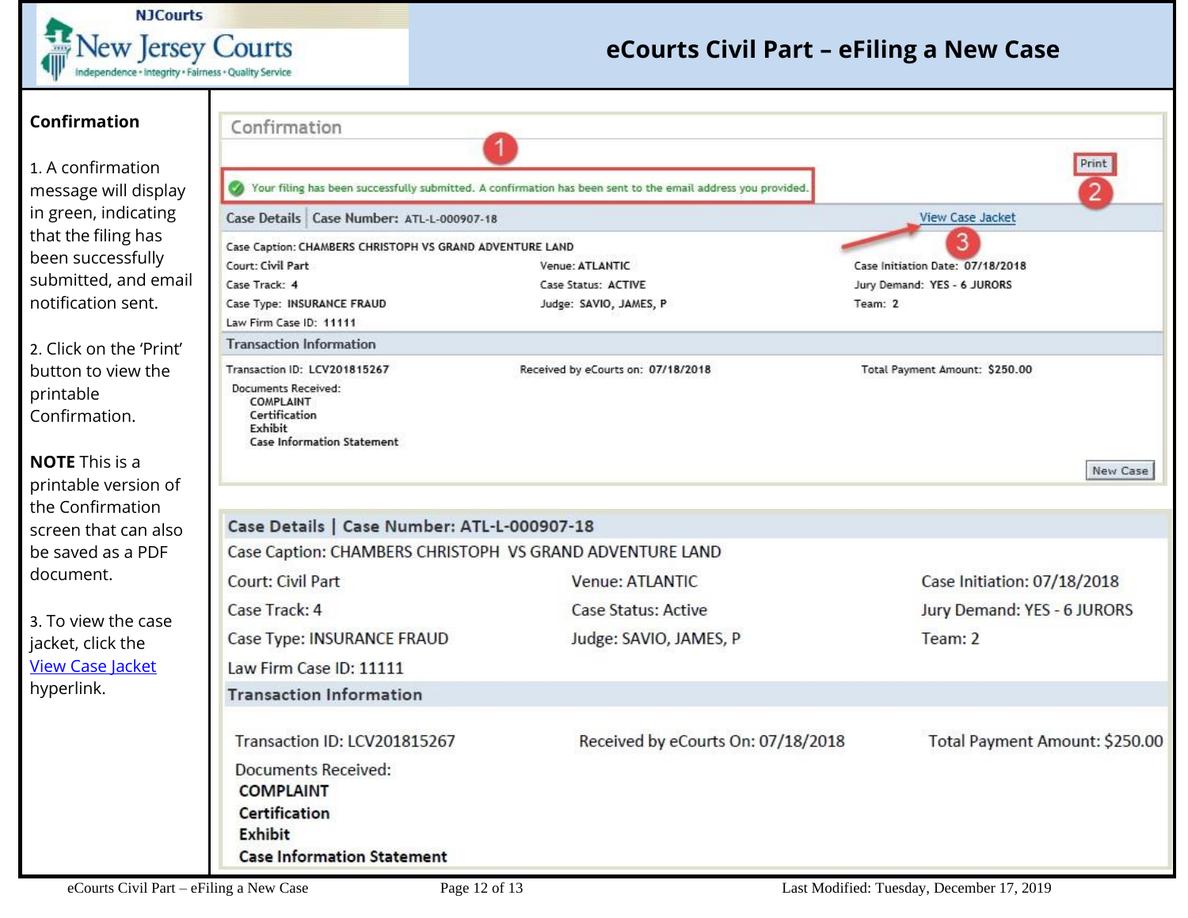**NJCourts** New Jersey Courts

| <b>Confirmation</b><br>1. A confirmation | Confirmation                                                                                             |                                                                                                              | Print                            |  |  |  |  |  |  |  |  |
|------------------------------------------|----------------------------------------------------------------------------------------------------------|--------------------------------------------------------------------------------------------------------------|----------------------------------|--|--|--|--|--|--|--|--|
| message will display                     | $\bullet$                                                                                                | Your filing has been successfully submitted. A confirmation has been sent to the email address you provided. |                                  |  |  |  |  |  |  |  |  |
| in green, indicating                     | Case Details   Case Number: ATL-L-000907-18                                                              |                                                                                                              | <b>View Case Jacket</b>          |  |  |  |  |  |  |  |  |
| that the filing has                      | Case Caption: CHAMBERS CHRISTOPH VS GRAND ADVENTURE LAND                                                 |                                                                                                              |                                  |  |  |  |  |  |  |  |  |
| been successfully                        | Court: Civil Part                                                                                        | Venue: ATLANTIC                                                                                              | Case Initiation Date: 07/18/2018 |  |  |  |  |  |  |  |  |
| submitted, and email                     | Case Track: 4                                                                                            | Case Status: ACTIVE                                                                                          | Jury Demand: YES - 6 JURORS      |  |  |  |  |  |  |  |  |
| notification sent.                       | Case Type: INSURANCE FRAUD                                                                               | Judge: SAVIO, JAMES, P                                                                                       | Team: 2                          |  |  |  |  |  |  |  |  |
|                                          | Law Firm Case ID: 11111                                                                                  |                                                                                                              |                                  |  |  |  |  |  |  |  |  |
| 2. Click on the 'Print'                  | <b>Transaction Information</b>                                                                           |                                                                                                              |                                  |  |  |  |  |  |  |  |  |
| button to view the                       | Transaction ID: LCV201815267                                                                             | Received by eCourts on: 07/18/2018                                                                           | Total Payment Amount: \$250.00   |  |  |  |  |  |  |  |  |
| printable<br>Confirmation.               | Documents Received:<br><b>COMPLAINT</b><br>Certification<br>Exhibit<br><b>Case Information Statement</b> |                                                                                                              |                                  |  |  |  |  |  |  |  |  |
| <b>NOTE</b> This is a                    |                                                                                                          |                                                                                                              | New Case                         |  |  |  |  |  |  |  |  |
| printable version of                     |                                                                                                          |                                                                                                              |                                  |  |  |  |  |  |  |  |  |
| the Confirmation                         |                                                                                                          |                                                                                                              |                                  |  |  |  |  |  |  |  |  |
| screen that can also                     | Case Details   Case Number: ATL-L-000907-18                                                              |                                                                                                              |                                  |  |  |  |  |  |  |  |  |
| be saved as a PDF                        | Case Caption: CHAMBERS CHRISTOPH VS GRAND ADVENTURE LAND                                                 |                                                                                                              |                                  |  |  |  |  |  |  |  |  |
| document.                                | Court: Civil Part                                                                                        | Venue: ATLANTIC                                                                                              | Case Initiation: 07/18/2018      |  |  |  |  |  |  |  |  |
| 3. To view the case                      | Case Track: 4                                                                                            | <b>Case Status: Active</b>                                                                                   | Jury Demand: YES - 6 JURORS      |  |  |  |  |  |  |  |  |
| jacket, click the                        | Case Type: INSURANCE FRAUD                                                                               | Judge: SAVIO, JAMES, P                                                                                       | Team: 2                          |  |  |  |  |  |  |  |  |
| <b>View Case Jacket</b>                  | Law Firm Case ID: 11111                                                                                  |                                                                                                              |                                  |  |  |  |  |  |  |  |  |
| hyperlink.                               | <b>Transaction Information</b>                                                                           |                                                                                                              |                                  |  |  |  |  |  |  |  |  |
|                                          |                                                                                                          |                                                                                                              |                                  |  |  |  |  |  |  |  |  |
|                                          | Transaction ID: LCV201815267                                                                             | Received by eCourts On: 07/18/2018                                                                           | Total Payment Amount: \$250.00   |  |  |  |  |  |  |  |  |
|                                          | <b>Documents Received:</b>                                                                               |                                                                                                              |                                  |  |  |  |  |  |  |  |  |
|                                          | <b>COMPLAINT</b>                                                                                         |                                                                                                              |                                  |  |  |  |  |  |  |  |  |
|                                          | Certification                                                                                            |                                                                                                              |                                  |  |  |  |  |  |  |  |  |
|                                          | <b>Exhibit</b>                                                                                           |                                                                                                              |                                  |  |  |  |  |  |  |  |  |
|                                          | <b>Case Information Statement</b>                                                                        |                                                                                                              |                                  |  |  |  |  |  |  |  |  |